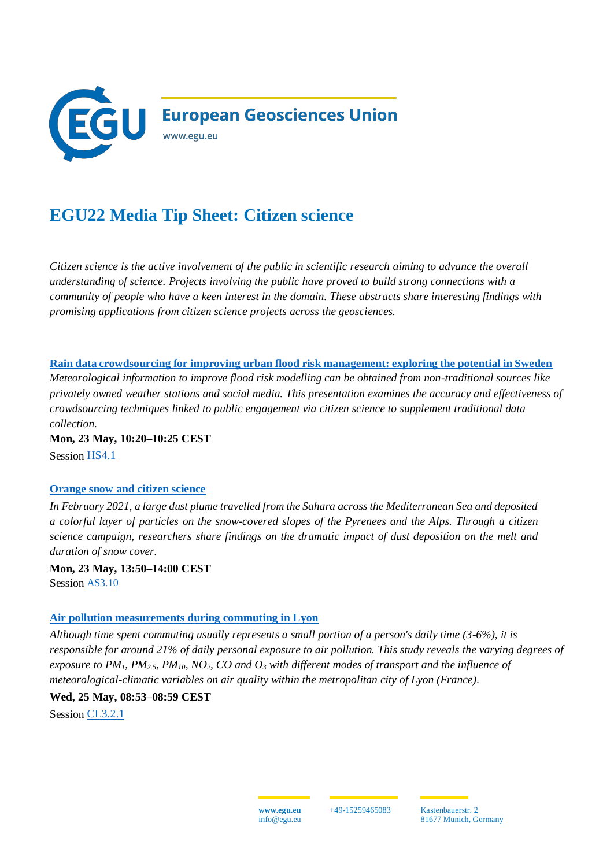

## **EGU22 Media Tip Sheet: Citizen science**

*Citizen science is the active involvement of the public in scientific research aiming to advance the overall understanding of science. Projects involving the public have proved to build strong connections with a community of people who have a keen interest in the domain. These abstracts share interesting findings with promising applications from citizen science projects across the geosciences.* 

**[Rain data crowdsourcing for improving urban flood risk management: exploring the potential in Sweden](https://meetingorganizer.copernicus.org/EGU22/EGU22-9274.html)** *Meteorological information to improve flood risk modelling can be obtained from non-traditional sources like privately owned weather stations and social media. This presentation examines the accuracy and effectiveness of crowdsourcing techniques linked to public engagement via citizen science to supplement traditional data collection.*

**Mon, 23 May, 10:20–10:25 CEST** Session [HS4.1](https://meetingorganizer.copernicus.org/EGU22/session/41915)

## **[Orange snow and citizen science](https://meetingorganizer.copernicus.org/EGU22/EGU22-3132.html)**

*In February 2021, a large dust plume travelled from the Sahara across the Mediterranean Sea and deposited a colorful layer of particles on the snow-covered slopes of the Pyrenees and the Alps. Through a citizen science campaign, researchers share findings on the dramatic impact of dust deposition on the melt and duration of snow cover.*

**Mon, 23 May, 13:50–14:00 CEST** Session [AS3.10](https://meetingorganizer.copernicus.org/EGU22/session/43878)

## **[Air pollution measurements during commuting in Lyon](https://meetingorganizer.copernicus.org/EGU22/EGU22-13150.html)**

*Although time spent commuting usually represents a small portion of a person's daily time (3-6%), it is responsible for around 21% of daily personal exposure to air pollution. This study reveals the varying degrees of exposure to PM1, PM2.5, PM10, NO2, CO and O<sup>3</sup> with different modes of transport and the influence of meteorological-climatic variables on air quality within the metropolitan city of Lyon (France).* 

**Wed, 25 May, 08:53–08:59 CEST** 

Session [CL3.2.1](https://meetingorganizer.copernicus.org/EGU22/session/42719)

+49-15259465083 Kastenbauerstr. 2 81677 Munich, Germany